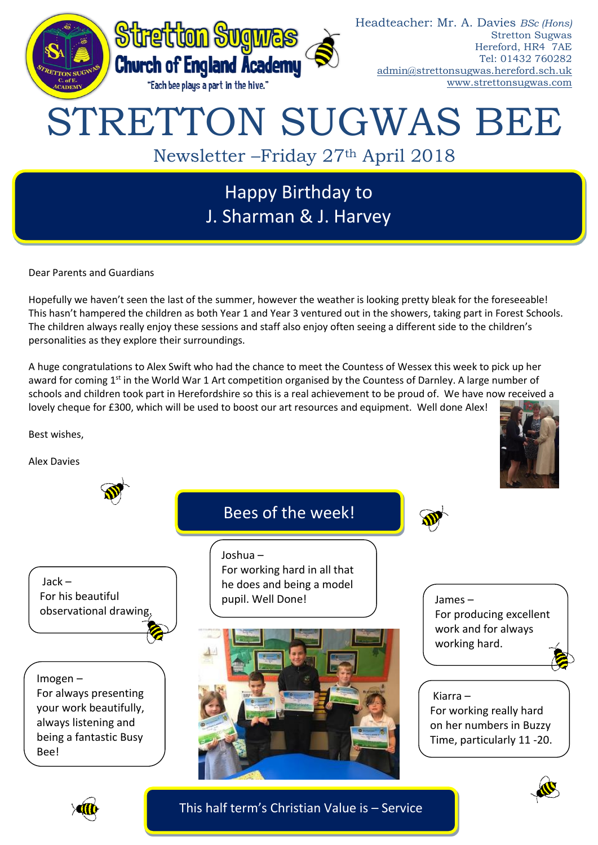

# Happy Birthday to J. Sharman & J. Harvey

Dear Parents and Guardians

Hopefully we haven't seen the last of the summer, however the weather is looking pretty bleak for the foreseeable! This hasn't hampered the children as both Year 1 and Year 3 ventured out in the showers, taking part in Forest Schools. The children always really enjoy these sessions and staff also enjoy often seeing a different side to the children's personalities as they explore their surroundings.

A huge congratulations to Alex Swift who had the chance to meet the Countess of Wessex this week to pick up her award for coming 1<sup>st</sup> in the World War 1 Art competition organised by the Countess of Darnley. A large number of schools and children took part in Herefordshire so this is a real achievement to be proud of. We have now received a lovely cheque for £300, which will be used to boost our art resources and equipment. Well done Alex!

Best wishes,

Alex Davies







Imogen – For always presenting your work beautifully, always listening and being a fantastic Busy Bee!





James – For producing excellent work and for always working hard.

#### Kiarra –

For working really hard on her numbers in Buzzy Time, particularly 11 -20.





This half term's Christian Value is – Service